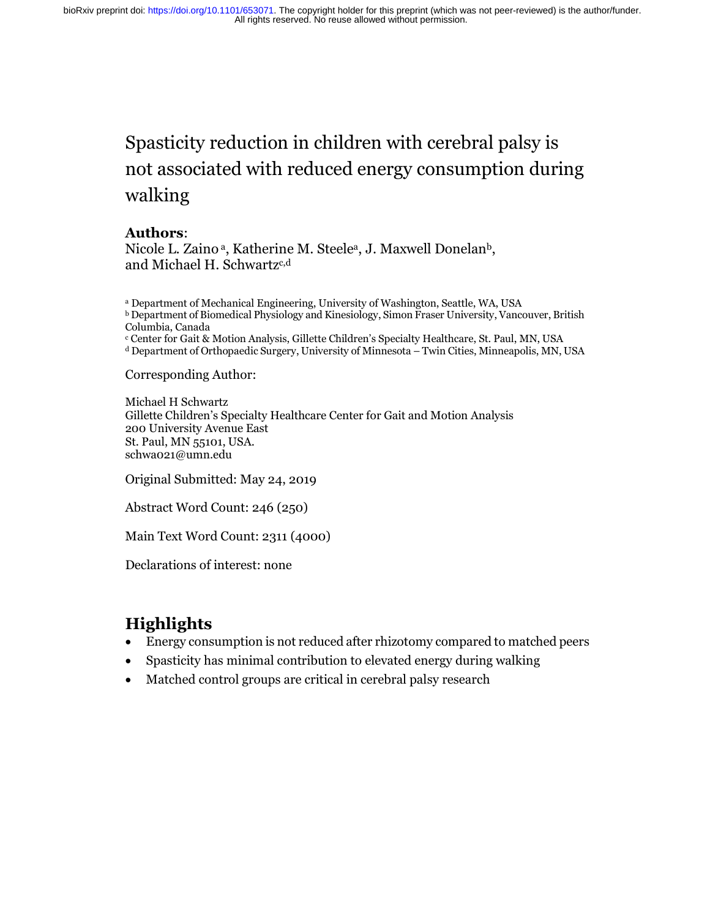# Spasticity reduction in children with cerebral palsy is not associated with reduced energy consumption during walking

#### **Authors**:

Nicole L. Zaino<sup>a</sup>, Katherine M. Steele<sup>a</sup>, J. Maxwell Donelan<sup>b</sup>, and Michael H. Schwartz<sup>c,d</sup>

<sup>a</sup> Department of Mechanical Engineering, University of Washington, Seattle, WA, USA <sup>b</sup> Department of Biomedical Physiology and Kinesiology, Simon Fraser University, Vancouver, British Columbia, Canada <sup>c</sup> Center for Gait & Motion Analysis, Gillette Children's Specialty Healthcare, St. Paul, MN, USA <sup>d</sup> Department of Orthopaedic Surgery, University of Minnesota – Twin Cities, Minneapolis, MN, USA

Corresponding Author:

Michael H Schwartz Gillette Children's Specialty Healthcare Center for Gait and Motion Analysis 200 University Avenue East St. Paul, MN 55101, USA. schwa021@umn.edu

Original Submitted: May 24, 2019

Abstract Word Count: 246 (250)

Main Text Word Count: 2311 (4000)

Declarations of interest: none

# **Highlights**

- Energy consumption is not reduced after rhizotomy compared to matched peers
- Spasticity has minimal contribution to elevated energy during walking
- Matched control groups are critical in cerebral palsy research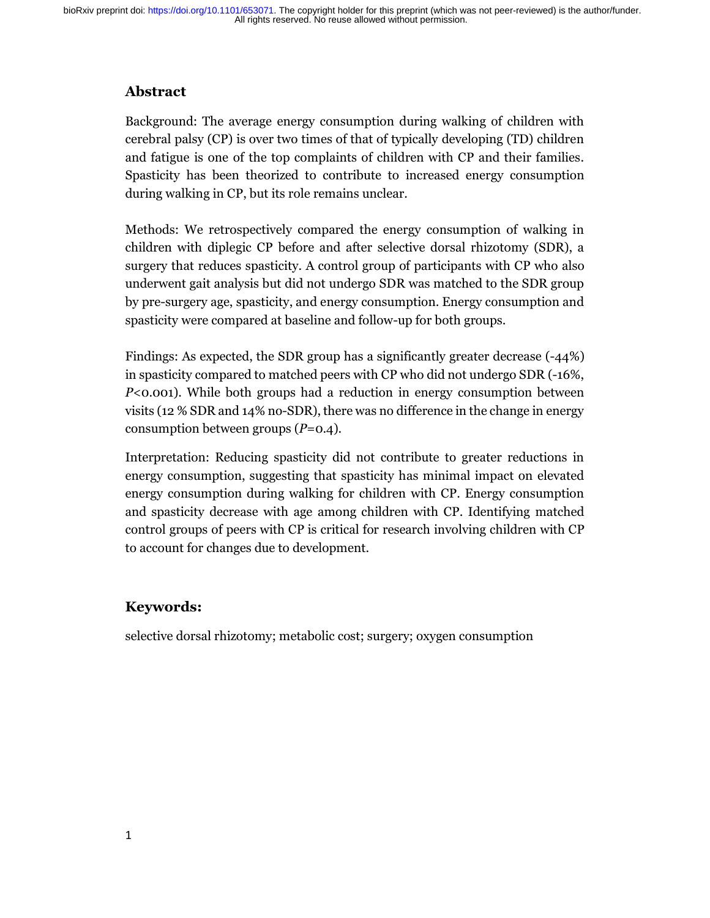### **Abstract**

Background: The average energy consumption during walking of children with cerebral palsy (CP) is over two times of that of typically developing (TD) children and fatigue is one of the top complaints of children with CP and their families. Spasticity has been theorized to contribute to increased energy consumption during walking in CP, but its role remains unclear.

Methods: We retrospectively compared the energy consumption of walking in children with diplegic CP before and after selective dorsal rhizotomy (SDR), a surgery that reduces spasticity. A control group of participants with CP who also underwent gait analysis but did not undergo SDR was matched to the SDR group by pre-surgery age, spasticity, and energy consumption. Energy consumption and spasticity were compared at baseline and follow-up for both groups.

Findings: As expected, the SDR group has a significantly greater decrease (-44%) in spasticity compared to matched peers with CP who did not undergo SDR (-16%, *P*<0.001). While both groups had a reduction in energy consumption between visits (12 % SDR and 14% no-SDR), there was no difference in the change in energy consumption between groups (*P*=0.4).

Interpretation: Reducing spasticity did not contribute to greater reductions in energy consumption, suggesting that spasticity has minimal impact on elevated energy consumption during walking for children with CP. Energy consumption and spasticity decrease with age among children with CP. Identifying matched control groups of peers with CP is critical for research involving children with CP to account for changes due to development.

### **Keywords:**

selective dorsal rhizotomy; metabolic cost; surgery; oxygen consumption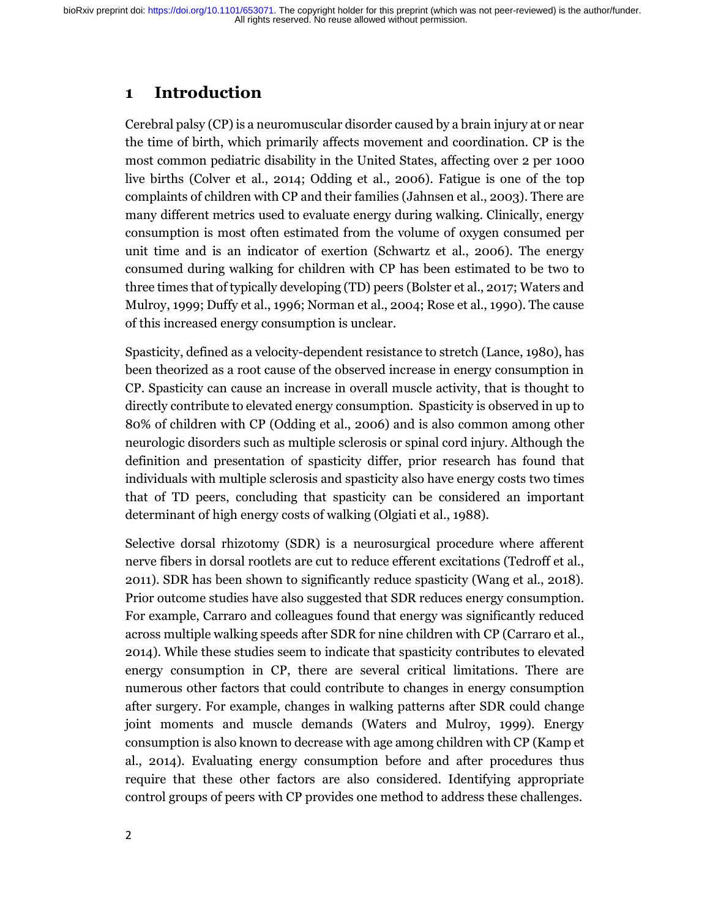# **1 Introduction**

Cerebral palsy (CP) is a neuromuscular disorder caused by a brain injury at or near the time of birth, which primarily affects movement and coordination. CP is the most common pediatric disability in the United States, affecting over 2 per 1000 live births (Colver et al., 2014; Odding et al., 2006). Fatigue is one of the top complaints of children with CP and their families (Jahnsen et al., 2003). There are many different metrics used to evaluate energy during walking. Clinically, energy consumption is most often estimated from the volume of oxygen consumed per unit time and is an indicator of exertion (Schwartz et al., 2006). The energy consumed during walking for children with CP has been estimated to be two to three times that of typically developing (TD) peers (Bolster et al., 2017; Waters and Mulroy, 1999; Duffy et al., 1996; Norman et al., 2004; Rose et al., 1990). The cause of this increased energy consumption is unclear.

Spasticity, defined as a velocity-dependent resistance to stretch (Lance, 1980), has been theorized as a root cause of the observed increase in energy consumption in CP. Spasticity can cause an increase in overall muscle activity, that is thought to directly contribute to elevated energy consumption. Spasticity is observed in up to 80% of children with CP (Odding et al., 2006) and is also common among other neurologic disorders such as multiple sclerosis or spinal cord injury. Although the definition and presentation of spasticity differ, prior research has found that individuals with multiple sclerosis and spasticity also have energy costs two times that of TD peers, concluding that spasticity can be considered an important determinant of high energy costs of walking (Olgiati et al., 1988).

Selective dorsal rhizotomy (SDR) is a neurosurgical procedure where afferent nerve fibers in dorsal rootlets are cut to reduce efferent excitations (Tedroff et al., 2011). SDR has been shown to significantly reduce spasticity (Wang et al., 2018). Prior outcome studies have also suggested that SDR reduces energy consumption. For example, Carraro and colleagues found that energy was significantly reduced across multiple walking speeds after SDR for nine children with CP (Carraro et al., 2014). While these studies seem to indicate that spasticity contributes to elevated energy consumption in CP, there are several critical limitations. There are numerous other factors that could contribute to changes in energy consumption after surgery. For example, changes in walking patterns after SDR could change joint moments and muscle demands (Waters and Mulroy, 1999). Energy consumption is also known to decrease with age among children with CP (Kamp et al., 2014). Evaluating energy consumption before and after procedures thus require that these other factors are also considered. Identifying appropriate control groups of peers with CP provides one method to address these challenges.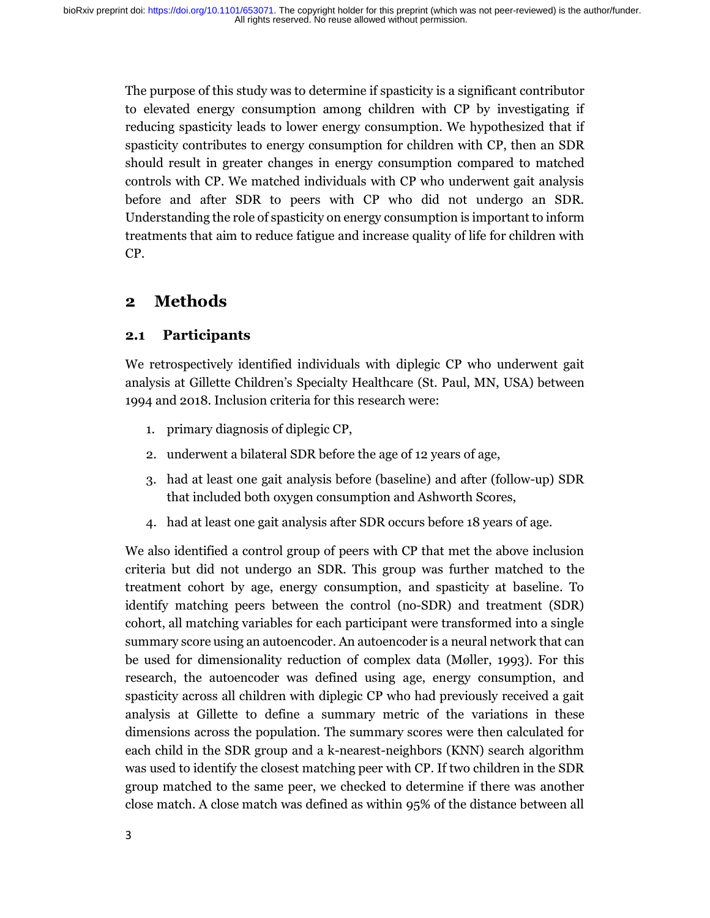The purpose of this study was to determine if spasticity is a significant contributor to elevated energy consumption among children with CP by investigating if reducing spasticity leads to lower energy consumption. We hypothesized that if spasticity contributes to energy consumption for children with CP, then an SDR should result in greater changes in energy consumption compared to matched controls with CP. We matched individuals with CP who underwent gait analysis before and after SDR to peers with CP who did not undergo an SDR. Understanding the role of spasticity on energy consumption is important to inform treatments that aim to reduce fatigue and increase quality of life for children with CP.

# **2 Methods**

### **2.1 Participants**

We retrospectively identified individuals with diplegic CP who underwent gait analysis at Gillette Children's Specialty Healthcare (St. Paul, MN, USA) between 1994 and 2018. Inclusion criteria for this research were:

- 1. primary diagnosis of diplegic CP,
- 2. underwent a bilateral SDR before the age of 12 years of age,
- 3. had at least one gait analysis before (baseline) and after (follow-up) SDR that included both oxygen consumption and Ashworth Scores,
- 4. had at least one gait analysis after SDR occurs before 18 years of age.

We also identified a control group of peers with CP that met the above inclusion criteria but did not undergo an SDR. This group was further matched to the treatment cohort by age, energy consumption, and spasticity at baseline. To identify matching peers between the control (no-SDR) and treatment (SDR) cohort, all matching variables for each participant were transformed into a single summary score using an autoencoder. An autoencoder is a neural network that can be used for dimensionality reduction of complex data (Møller, 1993). For this research, the autoencoder was defined using age, energy consumption, and spasticity across all children with diplegic CP who had previously received a gait analysis at Gillette to define a summary metric of the variations in these dimensions across the population. The summary scores were then calculated for each child in the SDR group and a k-nearest-neighbors (KNN) search algorithm was used to identify the closest matching peer with CP. If two children in the SDR group matched to the same peer, we checked to determine if there was another close match. A close match was defined as within 95% of the distance between all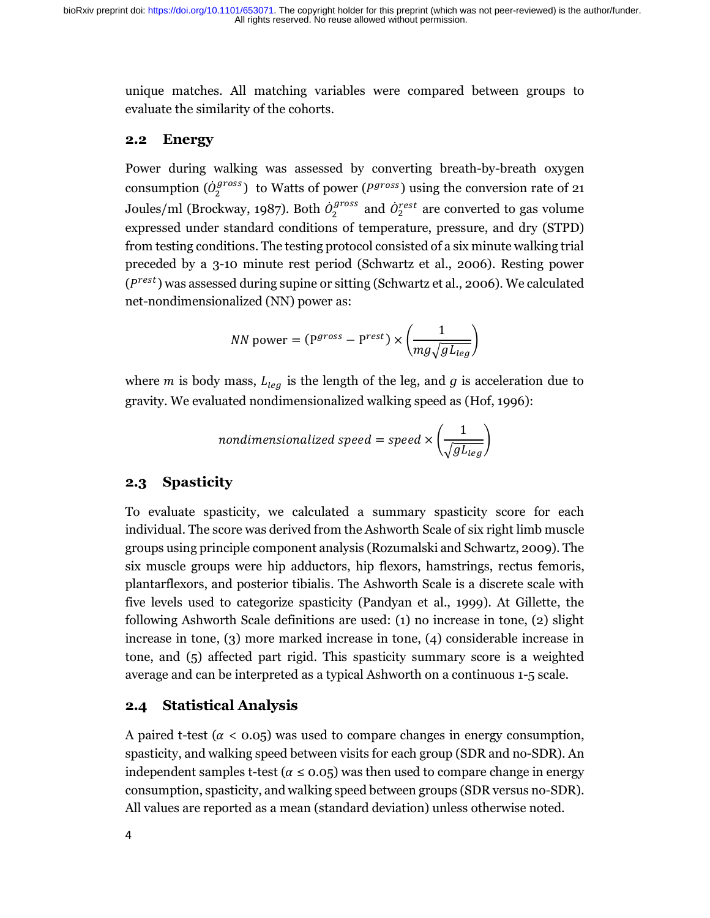unique matches. All matching variables were compared between groups to evaluate the similarity of the cohorts.

#### **2.2 Energy**

Power during walking was assessed by converting breath-by-breath oxygen consumption  $(\dot{\theta}_2^{gross})$  to Watts of power ( $P^{gross}$ ) using the conversion rate of 21 Joules/ml (Brockway, 1987). Both  $\dot{\theta}_2^{gross}$  and  $\dot{\theta}_2^{rest}$  are converted to gas volume expressed under standard conditions of temperature, pressure, and dry (STPD) from testing conditions. The testing protocol consisted of a six minute walking trial preceded by a 3-10 minute rest period (Schwartz et al., 2006). Resting power  $(P<sup>rest</sup>)$  was assessed during supine or sitting (Schwartz et al., 2006). We calculated net-nondimensionalized (NN) power as:

$$
NN \text{ power} = (\mathbf{P}^{gross} - \mathbf{P}^{rest}) \times \left(\frac{1}{mg\sqrt{gL_{leg}}}\right)
$$

where *m* is body mass,  $L_{leg}$  is the length of the leg, and *g* is acceleration due to gravity. We evaluated nondimensionalized walking speed as (Hof, 1996):

$$
nondimensionalized speed = speed \times \left(\frac{1}{\sqrt{gL_{leg}}}\right)
$$

### **2.3 Spasticity**

To evaluate spasticity, we calculated a summary spasticity score for each individual. The score was derived from the Ashworth Scale of six right limb muscle groups using principle component analysis (Rozumalski and Schwartz, 2009). The six muscle groups were hip adductors, hip flexors, hamstrings, rectus femoris, plantarflexors, and posterior tibialis. The Ashworth Scale is a discrete scale with five levels used to categorize spasticity (Pandyan et al., 1999). At Gillette, the following Ashworth Scale definitions are used: (1) no increase in tone, (2) slight increase in tone, (3) more marked increase in tone, (4) considerable increase in tone, and (5) affected part rigid. This spasticity summary score is a weighted average and can be interpreted as a typical Ashworth on a continuous 1-5 scale.

#### **2.4 Statistical Analysis**

A paired t-test ( $\alpha$  < 0.05) was used to compare changes in energy consumption, spasticity, and walking speed between visits for each group (SDR and no-SDR). An independent samples t-test ( $\alpha \le 0.05$ ) was then used to compare change in energy consumption, spasticity, and walking speed between groups (SDR versus no-SDR). All values are reported as a mean (standard deviation) unless otherwise noted.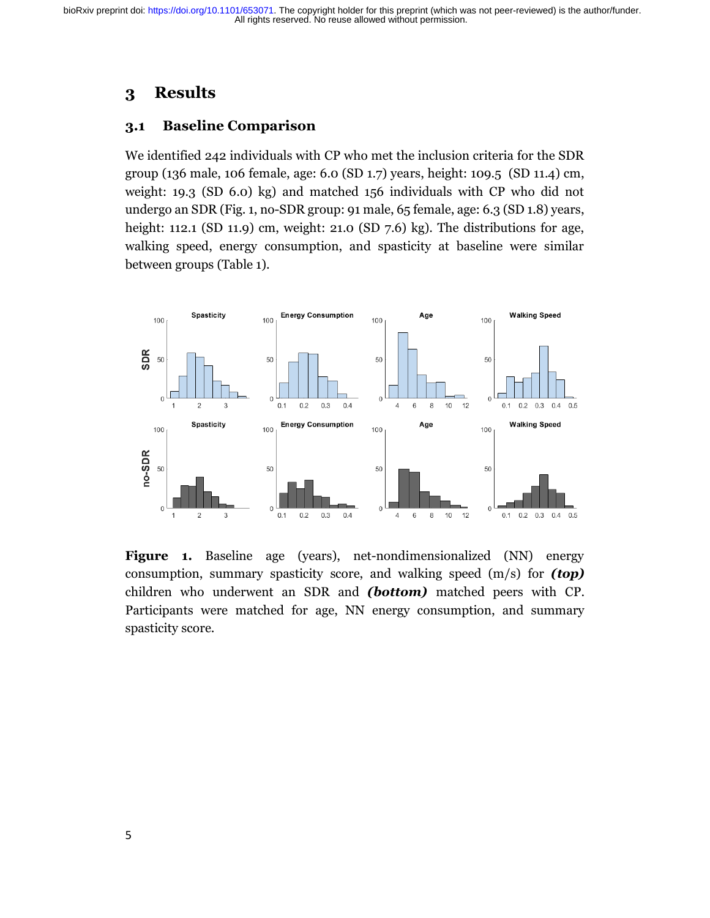# **3 Results**

#### **3.1 Baseline Comparison**

We identified 242 individuals with CP who met the inclusion criteria for the SDR group (136 male, 106 female, age: 6.0 (SD 1.7) years, height: 109.5 (SD 11.4) cm, weight: 19.3 (SD 6.0) kg) and matched 156 individuals with CP who did not undergo an SDR (Fig. 1, no-SDR group: 91 male, 65 female, age: 6.3 (SD 1.8) years, height: 112.1 (SD 11.9) cm, weight: 21.0 (SD 7.6) kg). The distributions for age, walking speed, energy consumption, and spasticity at baseline were similar between groups (Table 1).



**Figure 1.** Baseline age (years), net-nondimensionalized (NN) energy consumption, summary spasticity score, and walking speed (m/s) for *(top)* children who underwent an SDR and *(bottom)* matched peers with CP. Participants were matched for age, NN energy consumption, and summary spasticity score.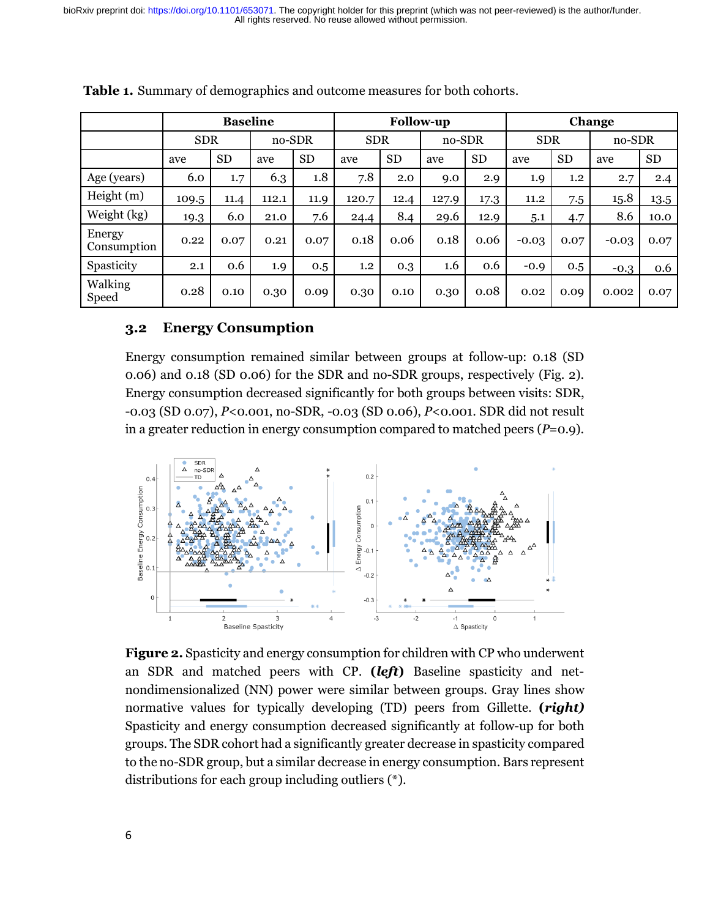|                         | <b>Baseline</b> |           |        |           | <b>Follow-up</b> |           |        |           | Change     |           |         |           |
|-------------------------|-----------------|-----------|--------|-----------|------------------|-----------|--------|-----------|------------|-----------|---------|-----------|
|                         | <b>SDR</b>      |           | no-SDR |           | <b>SDR</b>       |           | no-SDR |           | <b>SDR</b> |           | no-SDR  |           |
|                         | ave             | <b>SD</b> | ave    | <b>SD</b> | ave              | <b>SD</b> | ave    | <b>SD</b> | ave        | <b>SD</b> | ave     | <b>SD</b> |
| Age (years)             | 6.0             | 1.7       | 6.3    | 1.8       | 7.8              | 2.0       | 9.0    | 2.9       | 1.9        | 1,2       | 2.7     | 2.4       |
| Height(m)               | 109.5           | 11.4      | 112.1  | 11.9      | 120.7            | 12.4      | 127.9  | 17.3      | 11.2       | 7.5       | 15.8    | 13.5      |
| Weight (kg)             | 19.3            | 6.0       | 21.0   | 7.6       | 24.4             | 8.4       | 29.6   | 12.9      | 5.1        | 4.7       | 8.6     | 10.0      |
| Energy<br>Consumption   | 0.22            | 0.07      | 0.21   | 0.07      | 0.18             | 0.06      | 0.18   | 0.06      | $-0.03$    | 0.07      | $-0.03$ | 0.07      |
| Spasticity              | 2.1             | 0.6       | 1.9    | 0.5       | 1.2              | 0.3       | 1.6    | 0.6       | $-0.9$     | 0.5       | $-0.3$  | 0.6       |
| Walking<br><b>Speed</b> | 0.28            | 0.10      | 0.30   | 0.09      | 0.30             | 0.10      | 0.30   | 0.08      | 0.02       | 0.09      | 0.002   | 0.07      |

**Table 1.** Summary of demographics and outcome measures for both cohorts.

#### **3.2 Energy Consumption**

Energy consumption remained similar between groups at follow-up: 0.18 (SD 0.06) and 0.18 (SD 0.06) for the SDR and no-SDR groups, respectively (Fig. 2). Energy consumption decreased significantly for both groups between visits: SDR, -0.03 (SD 0.07), *P*<0.001, no-SDR, -0.03 (SD 0.06), *P*<0.001. SDR did not result in a greater reduction in energy consumption compared to matched peers (*P*=0.9).



**Figure 2.** Spasticity and energy consumption for children with CP who underwent an SDR and matched peers with CP. **(***left***)** Baseline spasticity and netnondimensionalized (NN) power were similar between groups. Gray lines show normative values for typically developing (TD) peers from Gillette. **(***right)*  Spasticity and energy consumption decreased significantly at follow-up for both groups. The SDR cohort had a significantly greater decrease in spasticity compared to the no-SDR group, but a similar decrease in energy consumption. Bars represent distributions for each group including outliers (\*).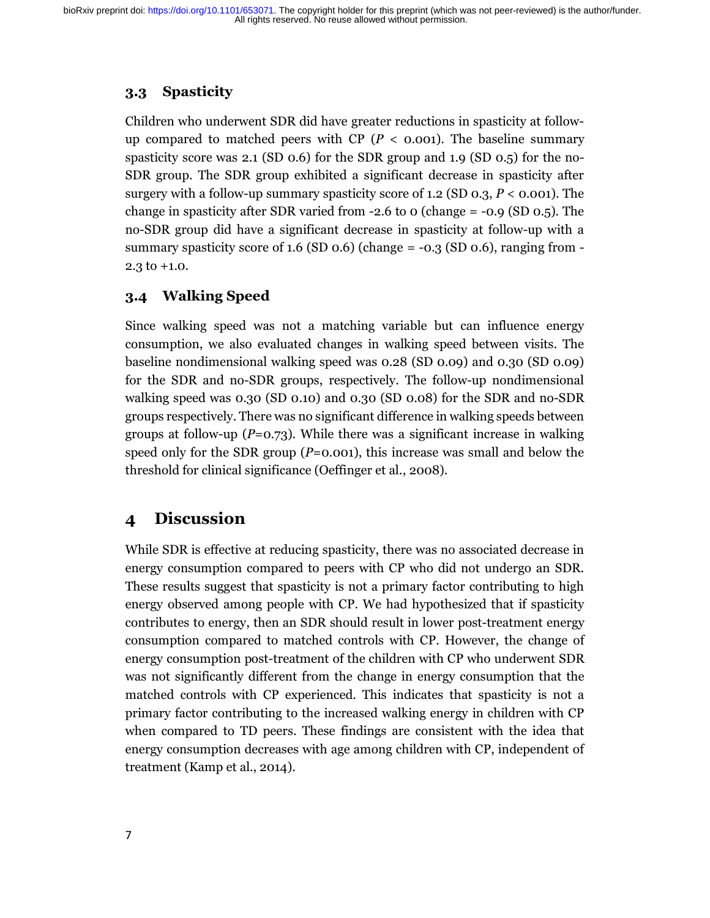### **3.3 Spasticity**

Children who underwent SDR did have greater reductions in spasticity at followup compared to matched peers with CP ( $P <$  0.001). The baseline summary spasticity score was 2.1 (SD 0.6) for the SDR group and 1.9 (SD 0.5) for the no-SDR group. The SDR group exhibited a significant decrease in spasticity after surgery with a follow-up summary spasticity score of 1.2 (SD 0.3, *P* < 0.001). The change in spasticity after SDR varied from  $-2.6$  to 0 (change  $= -0.9$  (SD 0.5). The no-SDR group did have a significant decrease in spasticity at follow-up with a summary spasticity score of  $1.6$  (SD  $0.6$ ) (change =  $-0.3$  (SD  $0.6$ ), ranging from  $-$ 2.3 to +1.0.

### **3.4 Walking Speed**

Since walking speed was not a matching variable but can influence energy consumption, we also evaluated changes in walking speed between visits. The baseline nondimensional walking speed was 0.28 (SD 0.09) and 0.30 (SD 0.09) for the SDR and no-SDR groups, respectively. The follow-up nondimensional walking speed was 0.30 (SD 0.10) and 0.30 (SD 0.08) for the SDR and no-SDR groups respectively. There was no significant difference in walking speeds between groups at follow-up (*P*=0.73). While there was a significant increase in walking speed only for the SDR group (*P*=0.001), this increase was small and below the threshold for clinical significance (Oeffinger et al., 2008).

# **4 Discussion**

While SDR is effective at reducing spasticity, there was no associated decrease in energy consumption compared to peers with CP who did not undergo an SDR. These results suggest that spasticity is not a primary factor contributing to high energy observed among people with CP. We had hypothesized that if spasticity contributes to energy, then an SDR should result in lower post-treatment energy consumption compared to matched controls with CP. However, the change of energy consumption post-treatment of the children with CP who underwent SDR was not significantly different from the change in energy consumption that the matched controls with CP experienced. This indicates that spasticity is not a primary factor contributing to the increased walking energy in children with CP when compared to TD peers. These findings are consistent with the idea that energy consumption decreases with age among children with CP, independent of treatment (Kamp et al., 2014).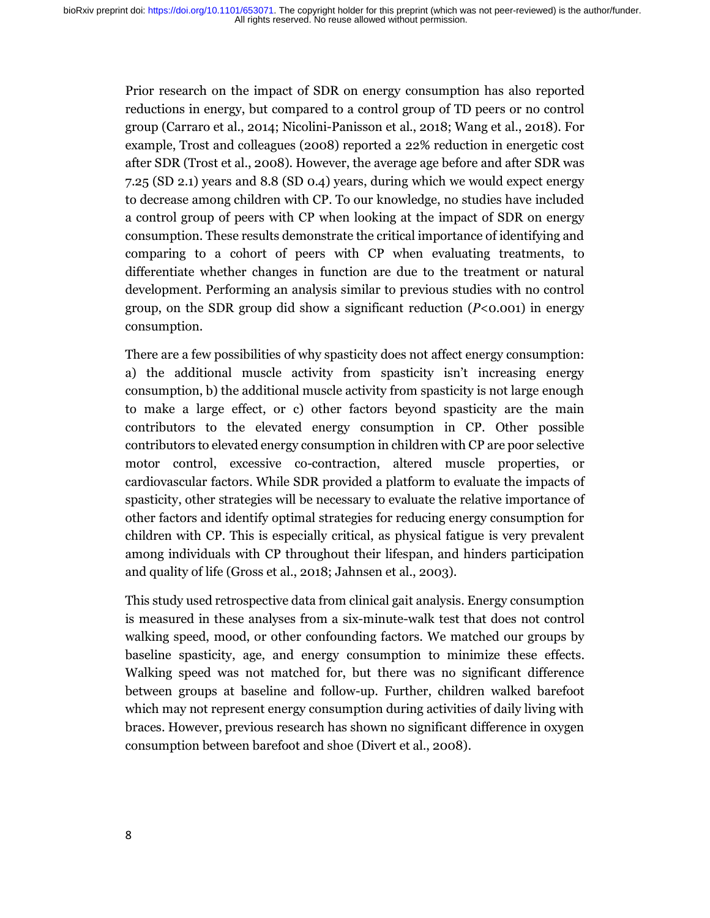Prior research on the impact of SDR on energy consumption has also reported reductions in energy, but compared to a control group of TD peers or no control group (Carraro et al., 2014; Nicolini-Panisson et al., 2018; Wang et al., 2018). For example, Trost and colleagues (2008) reported a 22% reduction in energetic cost after SDR (Trost et al., 2008). However, the average age before and after SDR was 7.25 (SD 2.1) years and 8.8 (SD 0.4) years, during which we would expect energy to decrease among children with CP. To our knowledge, no studies have included a control group of peers with CP when looking at the impact of SDR on energy consumption. These results demonstrate the critical importance of identifying and comparing to a cohort of peers with CP when evaluating treatments, to differentiate whether changes in function are due to the treatment or natural development. Performing an analysis similar to previous studies with no control group, on the SDR group did show a significant reduction (*P*<0.001) in energy consumption.

There are a few possibilities of why spasticity does not affect energy consumption: a) the additional muscle activity from spasticity isn't increasing energy consumption, b) the additional muscle activity from spasticity is not large enough to make a large effect, or c) other factors beyond spasticity are the main contributors to the elevated energy consumption in CP. Other possible contributors to elevated energy consumption in children with CP are poor selective motor control, excessive co-contraction, altered muscle properties, or cardiovascular factors. While SDR provided a platform to evaluate the impacts of spasticity, other strategies will be necessary to evaluate the relative importance of other factors and identify optimal strategies for reducing energy consumption for children with CP. This is especially critical, as physical fatigue is very prevalent among individuals with CP throughout their lifespan, and hinders participation and quality of life (Gross et al., 2018; Jahnsen et al., 2003).

This study used retrospective data from clinical gait analysis. Energy consumption is measured in these analyses from a six-minute-walk test that does not control walking speed, mood, or other confounding factors. We matched our groups by baseline spasticity, age, and energy consumption to minimize these effects. Walking speed was not matched for, but there was no significant difference between groups at baseline and follow-up. Further, children walked barefoot which may not represent energy consumption during activities of daily living with braces. However, previous research has shown no significant difference in oxygen consumption between barefoot and shoe (Divert et al., 2008).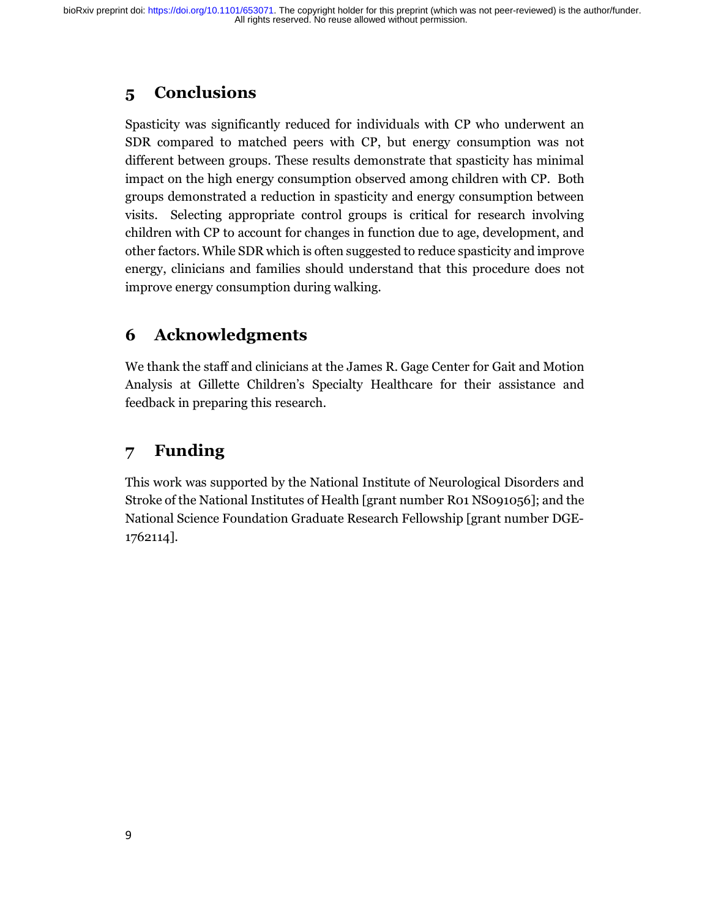# **5 Conclusions**

Spasticity was significantly reduced for individuals with CP who underwent an SDR compared to matched peers with CP, but energy consumption was not different between groups. These results demonstrate that spasticity has minimal impact on the high energy consumption observed among children with CP. Both groups demonstrated a reduction in spasticity and energy consumption between visits. Selecting appropriate control groups is critical for research involving children with CP to account for changes in function due to age, development, and other factors. While SDR which is often suggested to reduce spasticity and improve energy, clinicians and families should understand that this procedure does not improve energy consumption during walking.

# **6 Acknowledgments**

We thank the staff and clinicians at the James R. Gage Center for Gait and Motion Analysis at Gillette Children's Specialty Healthcare for their assistance and feedback in preparing this research.

# **7 Funding**

This work was supported by the National Institute of Neurological Disorders and Stroke of the National Institutes of Health [grant number R01 NS091056]; and the National Science Foundation Graduate Research Fellowship [grant number DGE-1762114].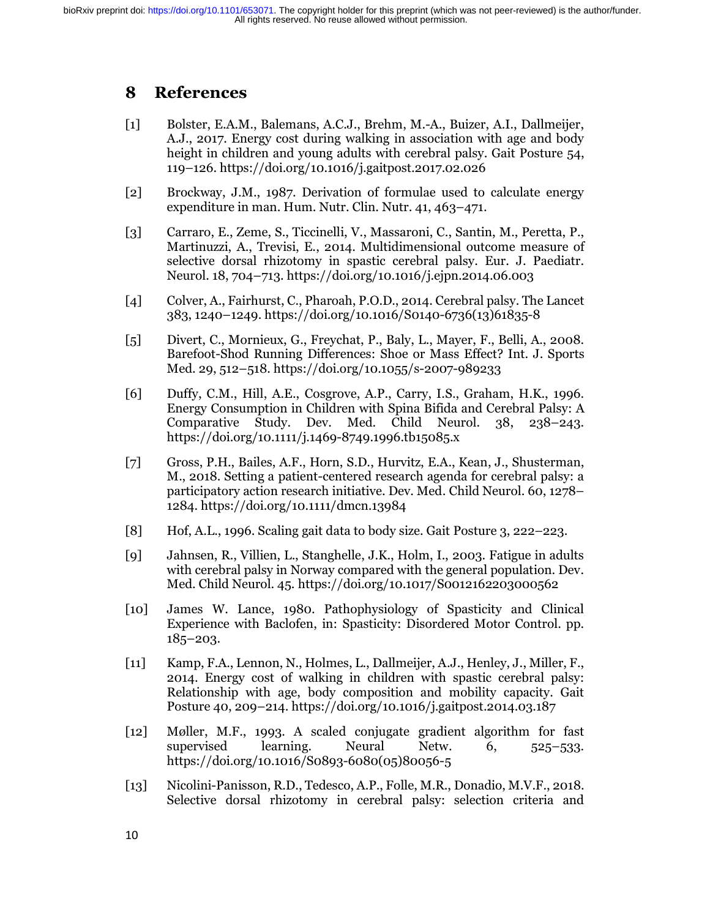### **8 References**

- [1] Bolster, E.A.M., Balemans, A.C.J., Brehm, M.-A., Buizer, A.I., Dallmeijer, A.J., 2017. Energy cost during walking in association with age and body height in children and young adults with cerebral palsy. Gait Posture 54, 119–126. https://doi.org/10.1016/j.gaitpost.2017.02.026
- [2] Brockway, J.M., 1987. Derivation of formulae used to calculate energy expenditure in man. Hum. Nutr. Clin. Nutr. 41, 463–471.
- [3] Carraro, E., Zeme, S., Ticcinelli, V., Massaroni, C., Santin, M., Peretta, P., Martinuzzi, A., Trevisi, E., 2014. Multidimensional outcome measure of selective dorsal rhizotomy in spastic cerebral palsy. Eur. J. Paediatr. Neurol. 18, 704–713. https://doi.org/10.1016/j.ejpn.2014.06.003
- [4] Colver, A., Fairhurst, C., Pharoah, P.O.D., 2014. Cerebral palsy. The Lancet 383, 1240–1249. https://doi.org/10.1016/S0140-6736(13)61835-8
- [5] Divert, C., Mornieux, G., Freychat, P., Baly, L., Mayer, F., Belli, A., 2008. Barefoot-Shod Running Differences: Shoe or Mass Effect? Int. J. Sports Med. 29, 512–518. https://doi.org/10.1055/s-2007-989233
- [6] Duffy, C.M., Hill, A.E., Cosgrove, A.P., Carry, I.S., Graham, H.K., 1996. Energy Consumption in Children with Spina Bifida and Cerebral Palsy: A Comparative Study. Dev. Med. Child Neurol. 38, 238–243. https://doi.org/10.1111/j.1469-8749.1996.tb15085.x
- [7] Gross, P.H., Bailes, A.F., Horn, S.D., Hurvitz, E.A., Kean, J., Shusterman, M., 2018. Setting a patient-centered research agenda for cerebral palsy: a participatory action research initiative. Dev. Med. Child Neurol. 60, 1278– 1284. https://doi.org/10.1111/dmcn.13984
- [8] Hof, A.L., 1996. Scaling gait data to body size. Gait Posture 3, 222–223.
- [9] Jahnsen, R., Villien, L., Stanghelle, J.K., Holm, I., 2003. Fatigue in adults with cerebral palsy in Norway compared with the general population. Dev. Med. Child Neurol. 45. https://doi.org/10.1017/S0012162203000562
- [10] James W. Lance, 1980. Pathophysiology of Spasticity and Clinical Experience with Baclofen, in: Spasticity: Disordered Motor Control. pp. 185–203.
- [11] Kamp, F.A., Lennon, N., Holmes, L., Dallmeijer, A.J., Henley, J., Miller, F., 2014. Energy cost of walking in children with spastic cerebral palsy: Relationship with age, body composition and mobility capacity. Gait Posture 40, 209–214. https://doi.org/10.1016/j.gaitpost.2014.03.187
- [12] Møller, M.F., 1993. A scaled conjugate gradient algorithm for fast supervised learning. Neural Netw. 6, 525–533. https://doi.org/10.1016/S0893-6080(05)80056-5
- [13] Nicolini-Panisson, R.D., Tedesco, A.P., Folle, M.R., Donadio, M.V.F., 2018. Selective dorsal rhizotomy in cerebral palsy: selection criteria and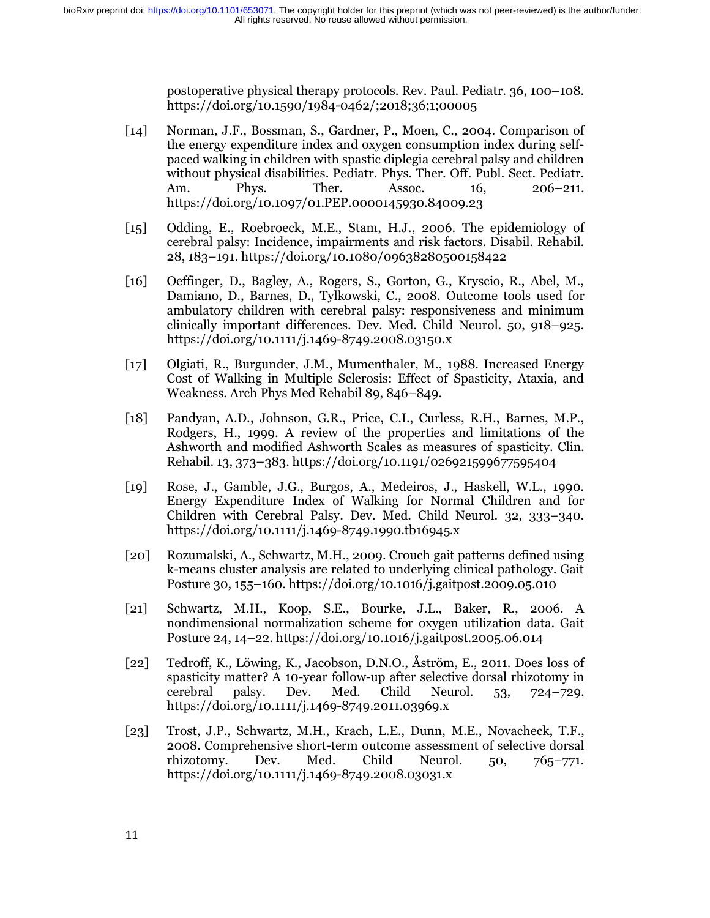postoperative physical therapy protocols. Rev. Paul. Pediatr. 36, 100–108. https://doi.org/10.1590/1984-0462/;2018;36;1;00005

- [14] Norman, J.F., Bossman, S., Gardner, P., Moen, C., 2004. Comparison of the energy expenditure index and oxygen consumption index during selfpaced walking in children with spastic diplegia cerebral palsy and children without physical disabilities. Pediatr. Phys. Ther. Off. Publ. Sect. Pediatr. Am. Phys. Ther. Assoc. 16, 206–211. https://doi.org/10.1097/01.PEP.0000145930.84009.23
- [15] Odding, E., Roebroeck, M.E., Stam, H.J., 2006. The epidemiology of cerebral palsy: Incidence, impairments and risk factors. Disabil. Rehabil. 28, 183–191. https://doi.org/10.1080/09638280500158422
- [16] Oeffinger, D., Bagley, A., Rogers, S., Gorton, G., Kryscio, R., Abel, M., Damiano, D., Barnes, D., Tylkowski, C., 2008. Outcome tools used for ambulatory children with cerebral palsy: responsiveness and minimum clinically important differences. Dev. Med. Child Neurol. 50, 918–925. https://doi.org/10.1111/j.1469-8749.2008.03150.x
- [17] Olgiati, R., Burgunder, J.M., Mumenthaler, M., 1988. Increased Energy Cost of Walking in Multiple Sclerosis: Effect of Spasticity, Ataxia, and Weakness. Arch Phys Med Rehabil 89, 846–849.
- [18] Pandyan, A.D., Johnson, G.R., Price, C.I., Curless, R.H., Barnes, M.P., Rodgers, H., 1999. A review of the properties and limitations of the Ashworth and modified Ashworth Scales as measures of spasticity. Clin. Rehabil. 13, 373–383. https://doi.org/10.1191/026921599677595404
- [19] Rose, J., Gamble, J.G., Burgos, A., Medeiros, J., Haskell, W.L., 1990. Energy Expenditure Index of Walking for Normal Children and for Children with Cerebral Palsy. Dev. Med. Child Neurol. 32, 333–340. https://doi.org/10.1111/j.1469-8749.1990.tb16945.x
- [20] Rozumalski, A., Schwartz, M.H., 2009. Crouch gait patterns defined using k-means cluster analysis are related to underlying clinical pathology. Gait Posture 30, 155–160. https://doi.org/10.1016/j.gaitpost.2009.05.010
- [21] Schwartz, M.H., Koop, S.E., Bourke, J.L., Baker, R., 2006. A nondimensional normalization scheme for oxygen utilization data. Gait Posture 24, 14–22. https://doi.org/10.1016/j.gaitpost.2005.06.014
- [22] Tedroff, K., Löwing, K., Jacobson, D.N.O., Åström, E., 2011. Does loss of spasticity matter? A 10-year follow-up after selective dorsal rhizotomy in cerebral palsy. Dev. Med. Child Neurol. 53, 724–729. https://doi.org/10.1111/j.1469-8749.2011.03969.x
- [23] Trost, J.P., Schwartz, M.H., Krach, L.E., Dunn, M.E., Novacheck, T.F., 2008. Comprehensive short-term outcome assessment of selective dorsal rhizotomy. Dev. Med. Child Neurol. 50, 765–771. https://doi.org/10.1111/j.1469-8749.2008.03031.x